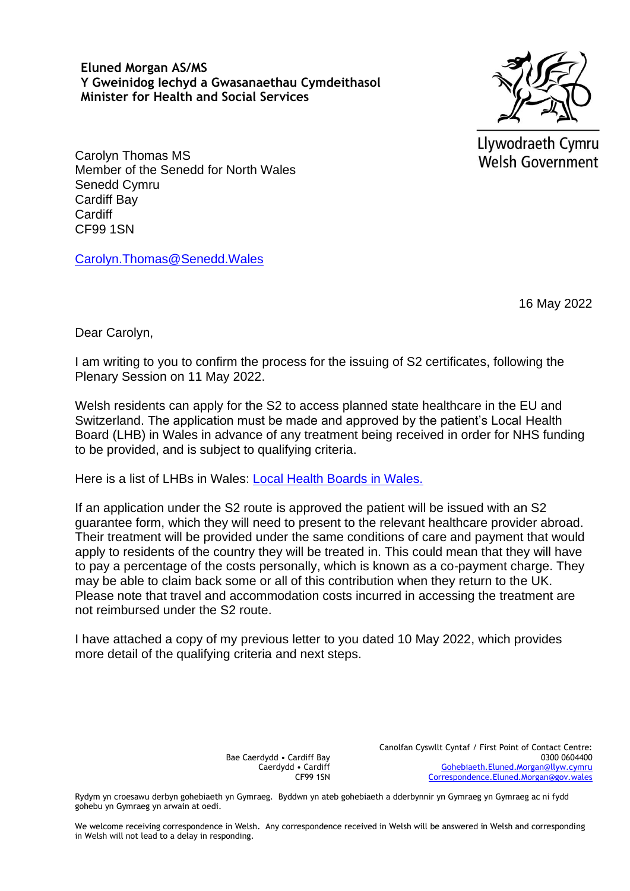**Eluned Morgan AS/MS Y Gweinidog Iechyd a Gwasanaethau Cymdeithasol Minister for Health and Social Services**



Llywodraeth Cymru **Welsh Government** 

Carolyn Thomas MS Member of the Senedd for North Wales Senedd Cymru Cardiff Bay Cardiff CF99 1SN

[Carolyn.Thomas@Senedd.Wales](mailto:Carolyn.Thomas@Senedd.Wales)

16 May 2022

Dear Carolyn,

I am writing to you to confirm the process for the issuing of S2 certificates, following the Plenary Session on 11 May 2022.

Welsh residents can apply for the S2 to access planned state healthcare in the EU and Switzerland. The application must be made and approved by the patient's Local Health Board (LHB) in Wales in advance of any treatment being received in order for NHS funding to be provided, and is subject to qualifying criteria.

Here is a list of LHBs in Wales: [Local Health Boards in Wales.](https://eur01.safelinks.protection.outlook.com/?url=https%3A%2F%2Fwww.wales.nhs.uk%2Fourservices%2Fdirectory%2FLocalHealthBoards&data=04%7C01%7CSonal.Raulji%40gov.wales%7C7fae2c28eab840fba4a408da1c790700%7Ca2cc36c592804ae78887d06dab89216b%7C0%7C0%7C637853603368684029%7CUnknown%7CTWFpbGZsb3d8eyJWIjoiMC4wLjAwMDAiLCJQIjoiV2luMzIiLCJBTiI6Ik1haWwiLCJXVCI6Mn0%3D%7C3000&sdata=wQ95LfNczNxnTwS5gZTDza7sh4kKKZ2jhi%2BIe%2FsNiFg%3D&reserved=0) 

If an application under the S2 route is approved the patient will be issued with an S2 guarantee form, which they will need to present to the relevant healthcare provider abroad. Their treatment will be provided under the same conditions of care and payment that would apply to residents of the country they will be treated in. This could mean that they will have to pay a percentage of the costs personally, which is known as a co-payment charge. They may be able to claim back some or all of this contribution when they return to the UK. Please note that travel and accommodation costs incurred in accessing the treatment are not reimbursed under the S2 route.

I have attached a copy of my previous letter to you dated 10 May 2022, which provides more detail of the qualifying criteria and next steps.

> Bae Caerdydd • Cardiff Bay Caerdydd • Cardiff CF99 1SN

Canolfan Cyswllt Cyntaf / First Point of Contact Centre: 0300 0604400 [Gohebiaeth.Eluned.Morgan@llyw.cymru](mailto:Gohebiaeth.Eluned.Morgan@llyw.cymru) [Correspondence.Eluned.Morgan@gov.wales](mailto:Correspondence.Eluned.Morgan@gov.wales)

Rydym yn croesawu derbyn gohebiaeth yn Gymraeg. Byddwn yn ateb gohebiaeth a dderbynnir yn Gymraeg yn Gymraeg ac ni fydd gohebu yn Gymraeg yn arwain at oedi.

We welcome receiving correspondence in Welsh. Any correspondence received in Welsh will be answered in Welsh and corresponding in Welsh will not lead to a delay in responding.